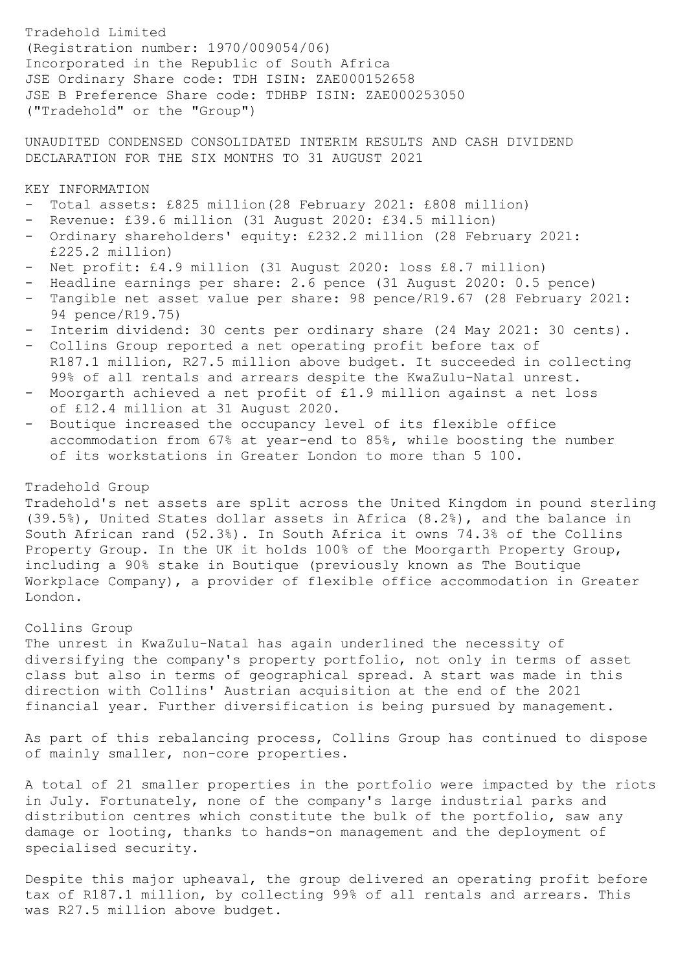Tradehold Limited (Registration number: 1970/009054/06) Incorporated in the Republic of South Africa JSE Ordinary Share code: TDH ISIN: ZAE000152658 JSE B Preference Share code: TDHBP ISIN: ZAE000253050 ("Tradehold" or the "Group")

UNAUDITED CONDENSED CONSOLIDATED INTERIM RESULTS AND CASH DIVIDEND DECLARATION FOR THE SIX MONTHS TO 31 AUGUST 2021

KEY INFORMATION

- Total assets: £825 million(28 February 2021: £808 million)
- Revenue: £39.6 million (31 August 2020: £34.5 million)
- Ordinary shareholders' equity: £232.2 million (28 February 2021: £225.2 million)
- Net profit: £4.9 million (31 August 2020: loss £8.7 million)
- Headline earnings per share: 2.6 pence (31 August 2020: 0.5 pence)
- Tangible net asset value per share: 98 pence/R19.67 (28 February 2021: 94 pence/R19.75)
- Interim dividend: 30 cents per ordinary share (24 May 2021: 30 cents).
- Collins Group reported a net operating profit before tax of R187.1 million, R27.5 million above budget. It succeeded in collecting 99% of all rentals and arrears despite the KwaZulu-Natal unrest.
- Moorgarth achieved a net profit of £1.9 million against a net loss of £12.4 million at 31 August 2020.
- Boutique increased the occupancy level of its flexible office accommodation from 67% at year-end to 85%, while boosting the number of its workstations in Greater London to more than 5 100.

# Tradehold Group

Tradehold's net assets are split across the United Kingdom in pound sterling (39.5%), United States dollar assets in Africa (8.2%), and the balance in South African rand (52.3%). In South Africa it owns 74.3% of the Collins Property Group. In the UK it holds 100% of the Moorgarth Property Group, including a 90% stake in Boutique (previously known as The Boutique Workplace Company), a provider of flexible office accommodation in Greater London.

## Collins Group

The unrest in KwaZulu-Natal has again underlined the necessity of diversifying the company's property portfolio, not only in terms of asset class but also in terms of geographical spread. A start was made in this direction with Collins' Austrian acquisition at the end of the 2021 financial year. Further diversification is being pursued by management.

As part of this rebalancing process, Collins Group has continued to dispose of mainly smaller, non-core properties.

A total of 21 smaller properties in the portfolio were impacted by the riots in July. Fortunately, none of the company's large industrial parks and distribution centres which constitute the bulk of the portfolio, saw any damage or looting, thanks to hands-on management and the deployment of specialised security.

Despite this major upheaval, the group delivered an operating profit before tax of R187.1 million, by collecting 99% of all rentals and arrears. This was R27.5 million above budget.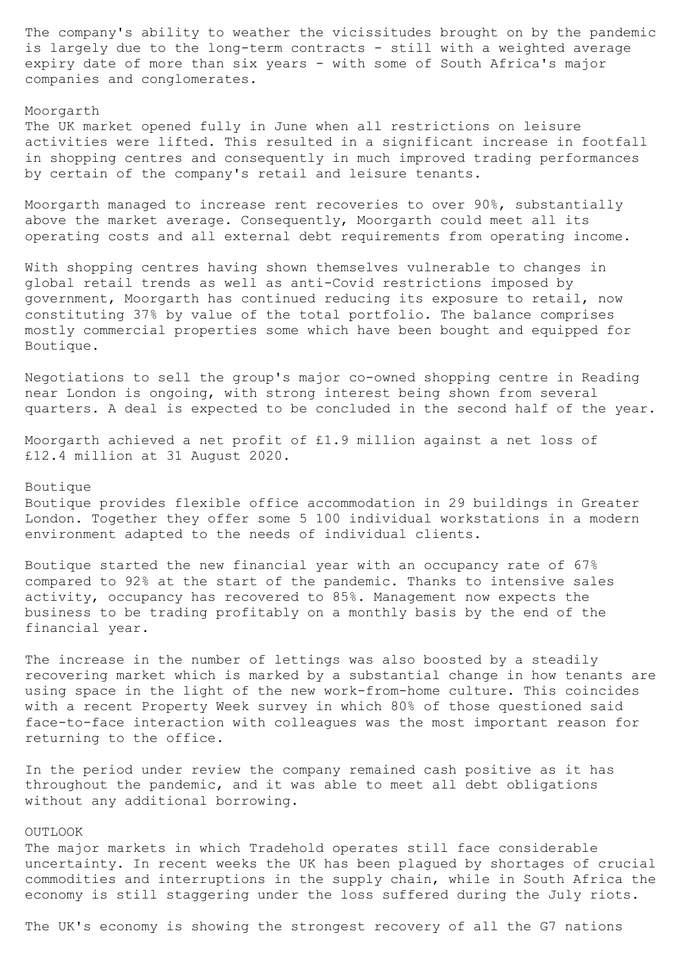The company's ability to weather the vicissitudes brought on by the pandemic is largely due to the long-term contracts - still with a weighted average expiry date of more than six years - with some of South Africa's major companies and conglomerates.

# Moorgarth

The UK market opened fully in June when all restrictions on leisure activities were lifted. This resulted in a significant increase in footfall in shopping centres and consequently in much improved trading performances by certain of the company's retail and leisure tenants.

Moorgarth managed to increase rent recoveries to over 90%, substantially above the market average. Consequently, Moorgarth could meet all its operating costs and all external debt requirements from operating income.

With shopping centres having shown themselves vulnerable to changes in global retail trends as well as anti-Covid restrictions imposed by government, Moorgarth has continued reducing its exposure to retail, now constituting 37% by value of the total portfolio. The balance comprises mostly commercial properties some which have been bought and equipped for Boutique.

Negotiations to sell the group's major co-owned shopping centre in Reading near London is ongoing, with strong interest being shown from several quarters. A deal is expected to be concluded in the second half of the year.

Moorgarth achieved a net profit of £1.9 million against a net loss of £12.4 million at 31 August 2020.

# Boutique

Boutique provides flexible office accommodation in 29 buildings in Greater London. Together they offer some 5 100 individual workstations in a modern environment adapted to the needs of individual clients.

Boutique started the new financial year with an occupancy rate of 67% compared to 92% at the start of the pandemic. Thanks to intensive sales activity, occupancy has recovered to 85%. Management now expects the business to be trading profitably on a monthly basis by the end of the financial year.

The increase in the number of lettings was also boosted by a steadily recovering market which is marked by a substantial change in how tenants are using space in the light of the new work-from-home culture. This coincides with a recent Property Week survey in which 80% of those questioned said face-to-face interaction with colleagues was the most important reason for returning to the office.

In the period under review the company remained cash positive as it has throughout the pandemic, and it was able to meet all debt obligations without any additional borrowing.

#### OUTLOOK

The major markets in which Tradehold operates still face considerable uncertainty. In recent weeks the UK has been plagued by shortages of crucial commodities and interruptions in the supply chain, while in South Africa the economy is still staggering under the loss suffered during the July riots.

The UK's economy is showing the strongest recovery of all the G7 nations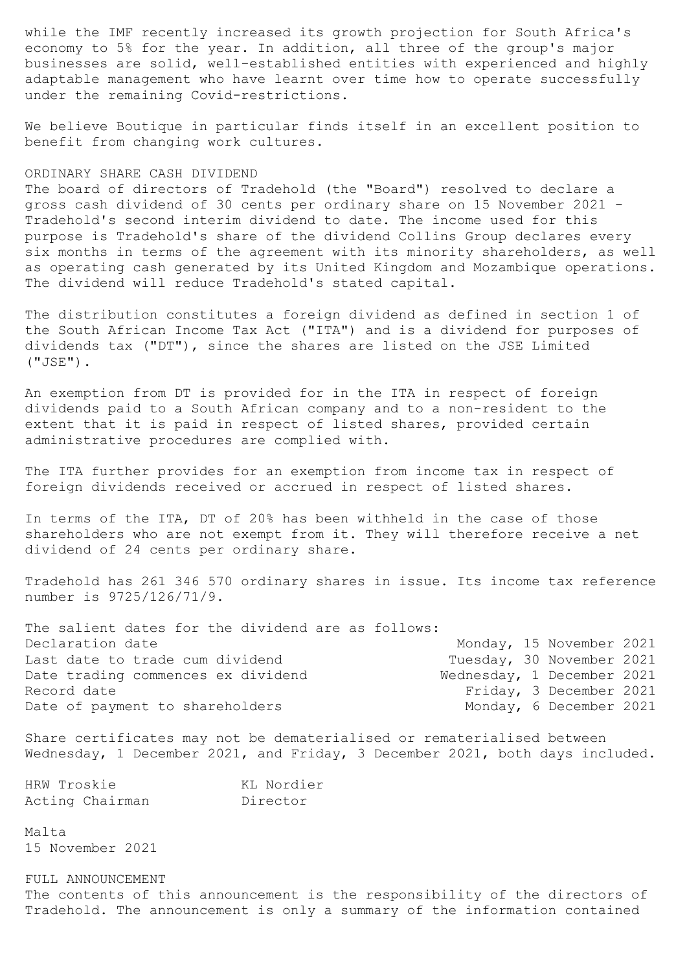while the IMF recently increased its growth projection for South Africa's economy to 5% for the year. In addition, all three of the group's major businesses are solid, well-established entities with experienced and highly adaptable management who have learnt over time how to operate successfully under the remaining Covid-restrictions.

We believe Boutique in particular finds itself in an excellent position to benefit from changing work cultures.

# ORDINARY SHARE CASH DIVIDEND

The board of directors of Tradehold (the "Board") resolved to declare a gross cash dividend of 30 cents per ordinary share on 15 November 2021 - Tradehold's second interim dividend to date. The income used for this purpose is Tradehold's share of the dividend Collins Group declares every six months in terms of the agreement with its minority shareholders, as well as operating cash generated by its United Kingdom and Mozambique operations. The dividend will reduce Tradehold's stated capital.

The distribution constitutes a foreign dividend as defined in section 1 of the South African Income Tax Act ("ITA") and is a dividend for purposes of dividends tax ("DT"), since the shares are listed on the JSE Limited ("JSE").

An exemption from DT is provided for in the ITA in respect of foreign dividends paid to a South African company and to a non-resident to the extent that it is paid in respect of listed shares, provided certain administrative procedures are complied with.

The ITA further provides for an exemption from income tax in respect of foreign dividends received or accrued in respect of listed shares.

In terms of the ITA, DT of 20% has been withheld in the case of those shareholders who are not exempt from it. They will therefore receive a net dividend of 24 cents per ordinary share.

Tradehold has 261 346 570 ordinary shares in issue. Its income tax reference number is 9725/126/71/9.

| The salient dates for the dividend are as follows: |                            |                          |  |
|----------------------------------------------------|----------------------------|--------------------------|--|
| Declaration date                                   |                            | Monday, 15 November 2021 |  |
| Last date to trade cum dividend                    | Tuesday, 30 November 2021  |                          |  |
| Date trading commences ex dividend                 | Wednesday, 1 December 2021 |                          |  |
| Record date                                        |                            | Friday, 3 December 2021  |  |
| Date of payment to shareholders                    |                            | Monday, 6 December 2021  |  |
|                                                    |                            |                          |  |

Share certificates may not be dematerialised or rematerialised between Wednesday, 1 December 2021, and Friday, 3 December 2021, both days included.

| HRW Troskie |                 | KL Nordier |
|-------------|-----------------|------------|
|             | Acting Chairman | Director   |

Malta 15 November 2021

FULL ANNOUNCEMENT The contents of this announcement is the responsibility of the directors of Tradehold. The announcement is only a summary of the information contained